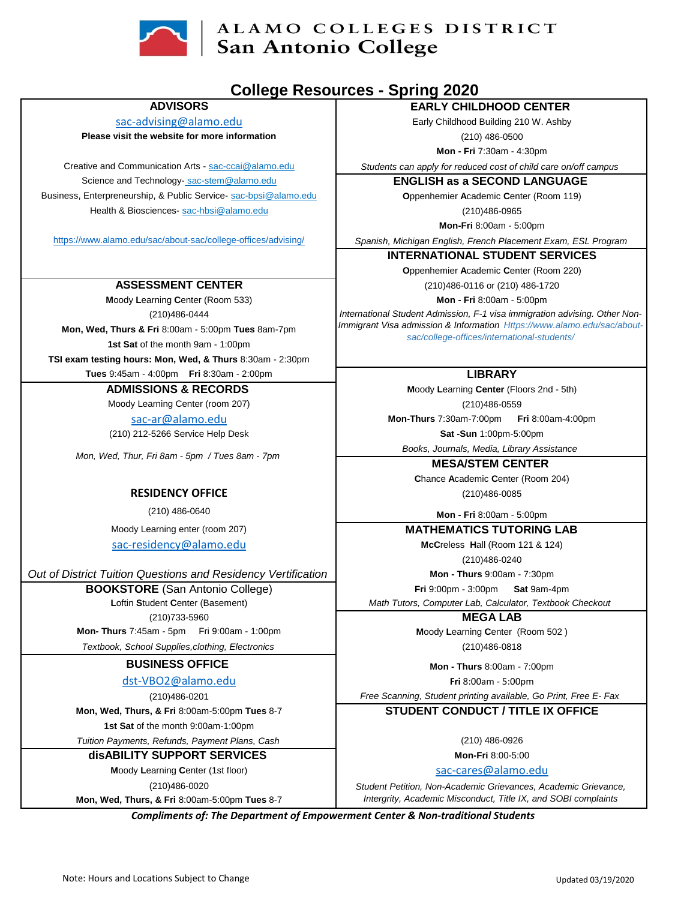

# ALAMO COLLEGES DISTRICT San Antonio College

## **College Resources - Spring 2020**

#### **ADVISORS**

[s](mailto:sac-advising@alamo.edu)ac-advising@alamo.edu **Please visit the website for more information**

Business, Enterpreneurship, & Public Service- sac-bpsi@alamo.edu Creative and Communication Arts - sac-ccai@alamo.edu Science and Technology-sac-stem@alamo.edu Health & Biosciences- sac-hbsi@alamo.edu

https://www.alamo.edu/sac/about-sac/college-offices/advising/

#### **ASSESSMENT CENTER**

**Mon, Wed, Thurs & Fri** 8:00am - 5:00pm **Tues** 8am-7pm **1st Sat** of the month 9am - 1:00pm (210)486-0444 **M**oody **L**earning **C**enter (Room 533)

**TSI exam testing hours: Mon, Wed, & Thurs** 8:30am - 2:30pm

#### **Tues** 9:45am - 4:00pm **Fri** 8:30am - 2:00pm **ADMISSIONS & RECORDS**

Moody Learning Center (room 207) sac-ar@alamo.edu

(210) 212-5266 Service Help Desk

*Mon, Wed, Thur, Fri 8am - 5pm / Tues 8am - 7pm*

#### **RESIDENCY OFFICE**

(210) 486-0640

Moody Learning enter (room 207) [s](mailto:sac-residency@alamo.edu)ac-residency@alamo.edu

*Out of District Tuition Questions and Residency Vertification* 

**BOOKSTORE** (San Antonio College) **L**oftin **S**tudent **C**enter (Basement) (210)733-5960 **Mon- Thurs** 7:45am - 5pm Fri 9:00am - 1:00pm

*Textbook, School Supplies,clothing, Electronics*

### **BUSINESS OFFICE**

#### [d](mailto:dst-VBO2@alamo.edu)st-VBO2@alamo.edu

(210)486-0201

**Mon, Wed, Thurs, & Fri** 8:00am-5:00pm **Tues** 8-7

**1st Sat** of the month 9:00am-1:00pm

*Tuition Payments, Refunds, Payment Plans, Cash*

**disABILITY SUPPORT SERVICES** 

**Moody Learning Center (1[s](mailto:sac-cares@alamo.edu)t floor) <b>Sac-cares** Sac-cares @alamo.edu (210)486-0020 **Mon, Wed, Thurs, & Fri** 8:00am-5:00pm **Tues** 8-7

**EARLY CHILDHOOD CENTER** 

Early Childhood Building 210 W. Ashby (210) 486-0500

**Mon - Fri** 7:30am - 4:30pm

*Students can apply for reduced cost of child care on/off campus* 

**ENGLISH as a SECOND LANGUAGE** 

**O**ppenhemier **A**cademic **C**enter (Room 119) (210)486-0965

**Mon-Fri** 8:00am - 5:00pm

*Spanish, Michigan English, French Placement Exam, ESL Program*

**INTERNATIONAL STUDENT SERVICES**

**O**ppenhemier **A**cademic **C**enter (Room 220)

(210)486-0116 or (210) 486-1720

**Mon - Fri** 8:00am - 5:00pm

*International Student Admission, F-1 visa immigration advising. Other Non-Immigrant Visa admission & Information Https://www.alamo.edu/sac/aboutsac/college-offices/international-students/*

#### **LIBRARY**

**M**oody **L**earning **Center** (Floors 2nd - 5th) (210)486-0559

**Mon-Thurs** 7:30am-7:00pm **Fri** 8:00am-4:00pm **Sat -Sun** 1:00pm-5:00pm

*Books, Journals, Media, Library Assistance*  **MESA/STEM CENTER** 

**C**hance **A**cademic **C**enter (Room 204) (210)486-0085

**Mon - Fri** 8:00am - 5:00pm

**MATHEMATICS TUTORING LAB**

**McC**reless **H**all (Room 121 & 124)

(210)486-0240

**Mon - Thurs** 9:00am - 7:30pm **Fri** 9:00pm - 3:00pm **Sat** 9am-4pm

**MEGA LAB**

**M**oody **L**earning **C**enter (Room 502 ) (210)486-0818

**Mon - Thurs** 8:00am - 7:00pm

**Fri** 8:00am - 5:00pm

*Free Scanning, Student printing available, Go Print, Free E- Fax* 

#### **STUDENT CONDUCT / TITLE IX OFFICE**

(210) 486-0926

**Mon-Fri** 8:00-5:00

*Student Petition, Non-Academic Grievances, Academic Grievance, Intergrity, Academic Misconduct, Title IX, and SOBI complaints*

*Compliments of: The Department of Empowerment Center & Non-traditional Students*

*Math Tutors, Computer Lab, Calculator, Textbook Checkout*